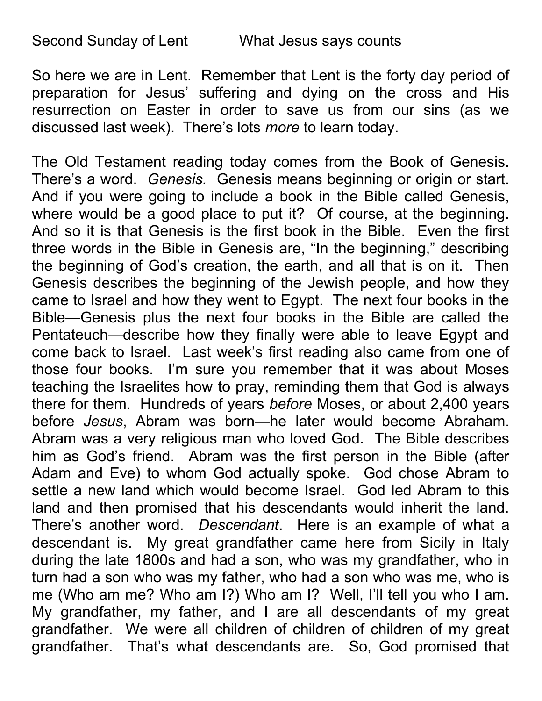So here we are in Lent. Remember that Lent is the forty day period of preparation for Jesus' suffering and dying on the cross and His resurrection on Easter in order to save us from our sins (as we discussed last week). There's lots more to learn today.

The Old Testament reading today comes from the Book of Genesis. There's a word. Genesis. Genesis means beginning or origin or start. And if you were going to include a book in the Bible called Genesis, where would be a good place to put it? Of course, at the beginning. And so it is that Genesis is the first book in the Bible. Even the first three words in the Bible in Genesis are, "In the beginning," describing the beginning of God's creation, the earth, and all that is on it. Then Genesis describes the beginning of the Jewish people, and how they came to Israel and how they went to Egypt. The next four books in the Bible—Genesis plus the next four books in the Bible are called the Pentateuch—describe how they finally were able to leave Egypt and come back to Israel. Last week's first reading also came from one of those four books. I'm sure you remember that it was about Moses teaching the Israelites how to pray, reminding them that God is always there for them. Hundreds of years before Moses, or about 2,400 years before Jesus, Abram was born—he later would become Abraham. Abram was a very religious man who loved God. The Bible describes him as God's friend. Abram was the first person in the Bible (after Adam and Eve) to whom God actually spoke. God chose Abram to settle a new land which would become Israel. God led Abram to this land and then promised that his descendants would inherit the land. There's another word. Descendant. Here is an example of what a descendant is. My great grandfather came here from Sicily in Italy during the late 1800s and had a son, who was my grandfather, who in turn had a son who was my father, who had a son who was me, who is me (Who am me? Who am I?) Who am I? Well, I'll tell you who I am. My grandfather, my father, and I are all descendants of my great grandfather. We were all children of children of children of my great grandfather. That's what descendants are. So, God promised that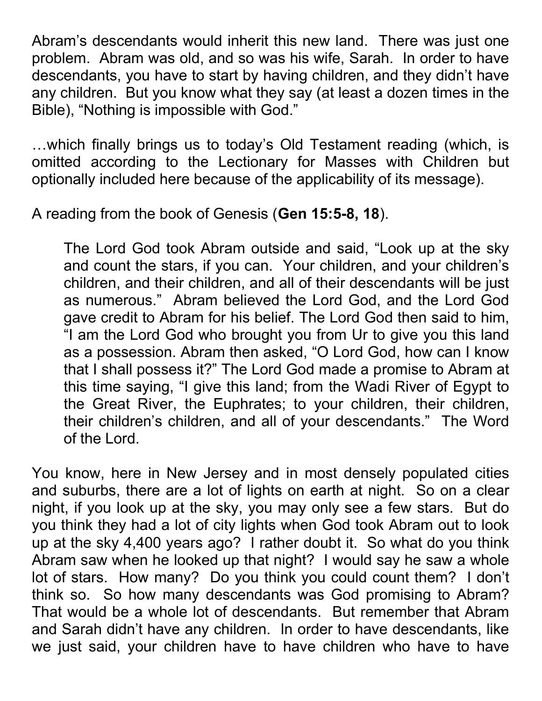Abram's descendants would inherit this new land. There was just one problem. Abram was old, and so was his wife, Sarah. In order to have descendants, you have to start by having children, and they didn't have any children. But you know what they say (at least a dozen times in the Bible), "Nothing is impossible with God."

…which finally brings us to today's Old Testament reading (which, is omitted according to the Lectionary for Masses with Children but optionally included here because of the applicability of its message).

A reading from the book of Genesis (Gen 15:5-8, 18).

The Lord God took Abram outside and said, "Look up at the sky and count the stars, if you can. Your children, and your children's children, and their children, and all of their descendants will be just as numerous." Abram believed the Lord God, and the Lord God gave credit to Abram for his belief. The Lord God then said to him, "I am the Lord God who brought you from Ur to give you this land as a possession. Abram then asked, "O Lord God, how can I know that I shall possess it?" The Lord God made a promise to Abram at this time saying, "I give this land; from the Wadi River of Egypt to the Great River, the Euphrates; to your children, their children, their children's children, and all of your descendants." The Word of the Lord.

You know, here in New Jersey and in most densely populated cities and suburbs, there are a lot of lights on earth at night. So on a clear night, if you look up at the sky, you may only see a few stars. But do you think they had a lot of city lights when God took Abram out to look up at the sky 4,400 years ago? I rather doubt it. So what do you think Abram saw when he looked up that night? I would say he saw a whole lot of stars. How many? Do you think you could count them? I don't think so. So how many descendants was God promising to Abram? That would be a whole lot of descendants. But remember that Abram and Sarah didn't have any children. In order to have descendants, like we just said, your children have to have children who have to have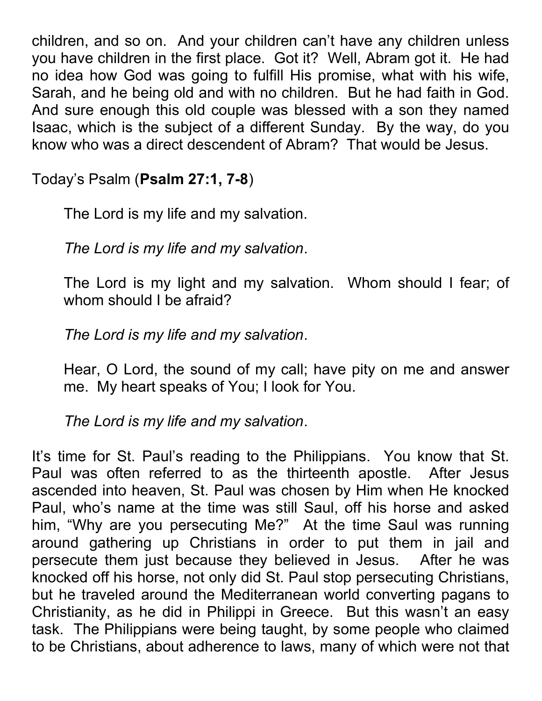children, and so on. And your children can't have any children unless you have children in the first place. Got it? Well, Abram got it. He had no idea how God was going to fulfill His promise, what with his wife, Sarah, and he being old and with no children. But he had faith in God. And sure enough this old couple was blessed with a son they named Isaac, which is the subject of a different Sunday. By the way, do you know who was a direct descendent of Abram? That would be Jesus.

Today's Psalm (Psalm 27:1, 7-8)

The Lord is my life and my salvation.

The Lord is my life and my salvation.

The Lord is my light and my salvation. Whom should I fear; of whom should I be afraid?

The Lord is my life and my salvation.

Hear, O Lord, the sound of my call; have pity on me and answer me. My heart speaks of You; I look for You.

The Lord is my life and my salvation.

It's time for St. Paul's reading to the Philippians. You know that St. Paul was often referred to as the thirteenth apostle. After Jesus ascended into heaven, St. Paul was chosen by Him when He knocked Paul, who's name at the time was still Saul, off his horse and asked him, "Why are you persecuting Me?" At the time Saul was running around gathering up Christians in order to put them in jail and persecute them just because they believed in Jesus. After he was knocked off his horse, not only did St. Paul stop persecuting Christians, but he traveled around the Mediterranean world converting pagans to Christianity, as he did in Philippi in Greece. But this wasn't an easy task. The Philippians were being taught, by some people who claimed to be Christians, about adherence to laws, many of which were not that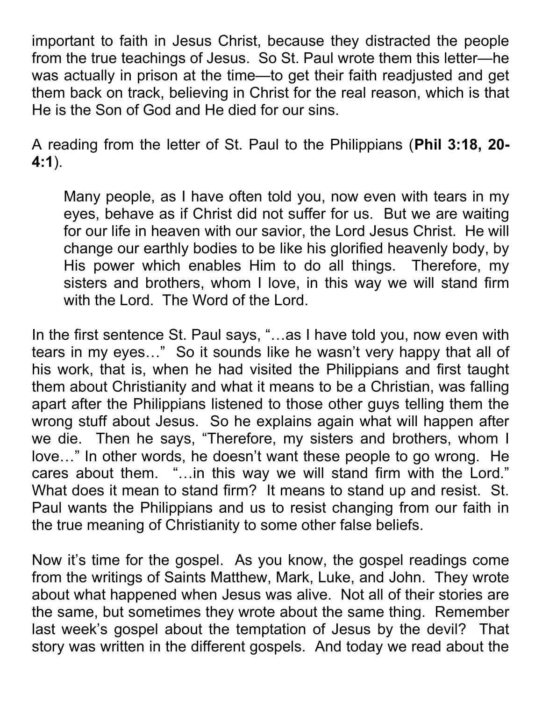important to faith in Jesus Christ, because they distracted the people from the true teachings of Jesus. So St. Paul wrote them this letter—he was actually in prison at the time—to get their faith readjusted and get them back on track, believing in Christ for the real reason, which is that He is the Son of God and He died for our sins.

A reading from the letter of St. Paul to the Philippians (Phil 3:18, 20- 4:1).

Many people, as I have often told you, now even with tears in my eyes, behave as if Christ did not suffer for us. But we are waiting for our life in heaven with our savior, the Lord Jesus Christ. He will change our earthly bodies to be like his glorified heavenly body, by His power which enables Him to do all things. Therefore, my sisters and brothers, whom I love, in this way we will stand firm with the Lord. The Word of the Lord.

In the first sentence St. Paul says, "…as I have told you, now even with tears in my eyes…" So it sounds like he wasn't very happy that all of his work, that is, when he had visited the Philippians and first taught them about Christianity and what it means to be a Christian, was falling apart after the Philippians listened to those other guys telling them the wrong stuff about Jesus. So he explains again what will happen after we die. Then he says, "Therefore, my sisters and brothers, whom I love…" In other words, he doesn't want these people to go wrong. He cares about them. "…in this way we will stand firm with the Lord." What does it mean to stand firm? It means to stand up and resist. St. Paul wants the Philippians and us to resist changing from our faith in the true meaning of Christianity to some other false beliefs.

Now it's time for the gospel. As you know, the gospel readings come from the writings of Saints Matthew, Mark, Luke, and John. They wrote about what happened when Jesus was alive. Not all of their stories are the same, but sometimes they wrote about the same thing. Remember last week's gospel about the temptation of Jesus by the devil? That story was written in the different gospels. And today we read about the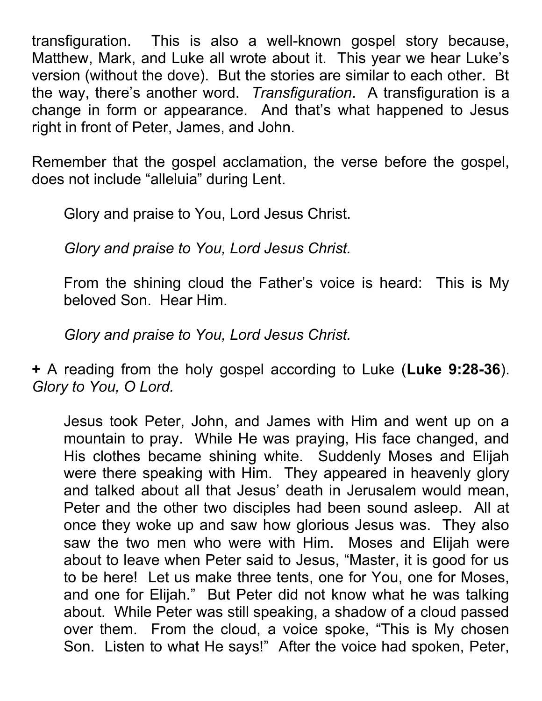transfiguration. This is also a well-known gospel story because, Matthew, Mark, and Luke all wrote about it. This year we hear Luke's version (without the dove). But the stories are similar to each other. Bt the way, there's another word. Transfiguration. A transfiguration is a change in form or appearance. And that's what happened to Jesus right in front of Peter, James, and John.

Remember that the gospel acclamation, the verse before the gospel, does not include "alleluia" during Lent.

Glory and praise to You, Lord Jesus Christ.

Glory and praise to You, Lord Jesus Christ.

From the shining cloud the Father's voice is heard: This is My beloved Son. Hear Him.

Glory and praise to You, Lord Jesus Christ.

+ A reading from the holy gospel according to Luke (Luke 9:28-36). Glory to You, O Lord.

Jesus took Peter, John, and James with Him and went up on a mountain to pray. While He was praying, His face changed, and His clothes became shining white. Suddenly Moses and Elijah were there speaking with Him. They appeared in heavenly glory and talked about all that Jesus' death in Jerusalem would mean, Peter and the other two disciples had been sound asleep. All at once they woke up and saw how glorious Jesus was. They also saw the two men who were with Him. Moses and Elijah were about to leave when Peter said to Jesus, "Master, it is good for us to be here! Let us make three tents, one for You, one for Moses, and one for Elijah." But Peter did not know what he was talking about. While Peter was still speaking, a shadow of a cloud passed over them. From the cloud, a voice spoke, "This is My chosen Son. Listen to what He says!" After the voice had spoken, Peter,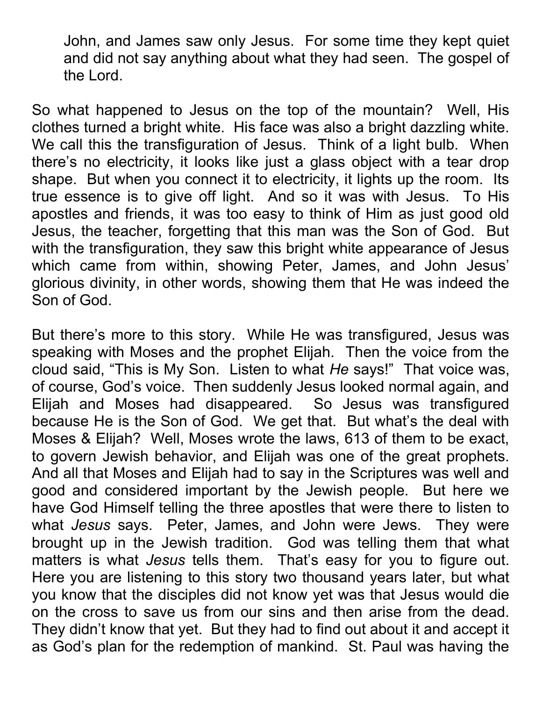John, and James saw only Jesus. For some time they kept quiet and did not say anything about what they had seen. The gospel of the Lord.

So what happened to Jesus on the top of the mountain? Well, His clothes turned a bright white. His face was also a bright dazzling white. We call this the transfiguration of Jesus. Think of a light bulb. When there's no electricity, it looks like just a glass object with a tear drop shape. But when you connect it to electricity, it lights up the room. Its true essence is to give off light. And so it was with Jesus. To His apostles and friends, it was too easy to think of Him as just good old Jesus, the teacher, forgetting that this man was the Son of God. But with the transfiguration, they saw this bright white appearance of Jesus which came from within, showing Peter, James, and John Jesus' glorious divinity, in other words, showing them that He was indeed the Son of God.

But there's more to this story. While He was transfigured, Jesus was speaking with Moses and the prophet Elijah. Then the voice from the cloud said, "This is My Son. Listen to what He says!" That voice was, of course, God's voice. Then suddenly Jesus looked normal again, and Elijah and Moses had disappeared. So Jesus was transfigured because He is the Son of God. We get that. But what's the deal with Moses & Elijah? Well, Moses wrote the laws, 613 of them to be exact, to govern Jewish behavior, and Elijah was one of the great prophets. And all that Moses and Elijah had to say in the Scriptures was well and good and considered important by the Jewish people. But here we have God Himself telling the three apostles that were there to listen to what Jesus says. Peter, James, and John were Jews. They were brought up in the Jewish tradition. God was telling them that what matters is what *Jesus* tells them. That's easy for you to figure out. Here you are listening to this story two thousand years later, but what you know that the disciples did not know yet was that Jesus would die on the cross to save us from our sins and then arise from the dead. They didn't know that yet. But they had to find out about it and accept it as God's plan for the redemption of mankind. St. Paul was having the